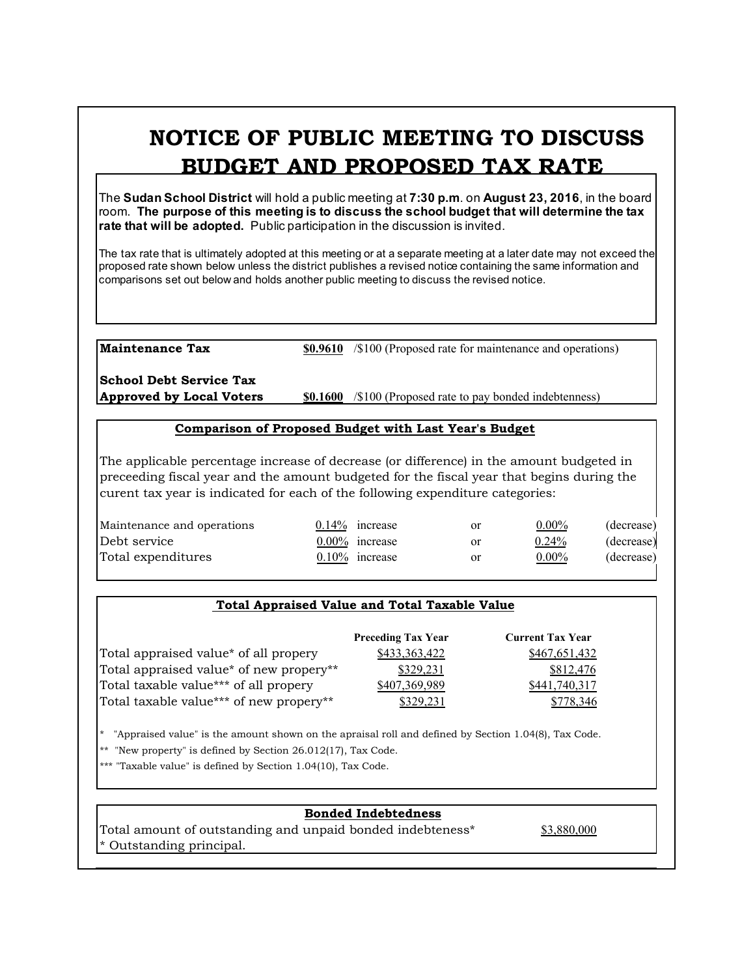# **NOTICE OF PUBLIC MEETING TO DISCUSS BUDGET AND PROPOSED TAX RATE**

The **Sudan School District** will hold a public meeting at **7:30 p.m**. on **August 23, 2016**, in the board room. **The purpose of this meeting is to discuss the school budget that will determine the tax rate that will be adopted.** Public participation in the discussion is invited.

The tax rate that is ultimately adopted at this meeting or at a separate meeting at a later date may not exceed the proposed rate shown below unless the district publishes a revised notice containing the same information and comparisons set out below and holds another public meeting to discuss the revised notice.

**Maintenance Tax \$0.9610** /\$100 (Proposed rate for maintenance and operations)

**School Debt Service Tax**

**Approved by Local Voters \$0.1600** /\$100 (Proposed rate to pay bonded indebtenness)

### **Comparison of Proposed Budget with Last Year's Budget**

The applicable percentage increase of decrease (or difference) in the amount budgeted in preceeding fiscal year and the amount budgeted for the fiscal year that begins during the curent tax year is indicated for each of the following expenditure categories:

| Maintenance and operations | $0.14\%$ increase | or | $0.00\%$ | (decrease) |
|----------------------------|-------------------|----|----------|------------|
| Debt service               | $0.00\%$ increase | or | 0.24%    | (decrease) |
| Total expenditures         | $0.10\%$ increase | or | $0.00\%$ | (decrease) |
|                            |                   |    |          |            |

### **Total Appraised Value and Total Taxable Value**

|                                         | <b>Preceding Tax Year</b> | <b>Current Tax Year</b> |
|-----------------------------------------|---------------------------|-------------------------|
| Total appraised value* of all propery   | \$433,363,422             | \$467,651,432           |
| Total appraised value* of new propery** | \$329,231                 | \$812,476               |
| Total taxable value*** of all propery   | \$407,369,989             | \$441,740,317           |
| Total taxable value*** of new propery** | \$329.231                 | 778.346                 |

\* "Appraised value" is the amount shown on the apraisal roll and defined by Section 1.04(8), Tax Code.

\*\* "New property" is defined by Section 26.012(17), Tax Code.

\*\*\* "Taxable value" is defined by Section 1.04(10), Tax Code.

## **Bonded Indebtedness**

Total amount of outstanding and unpaid bonded indebteness\* \$3,880,000 \* Outstanding principal.